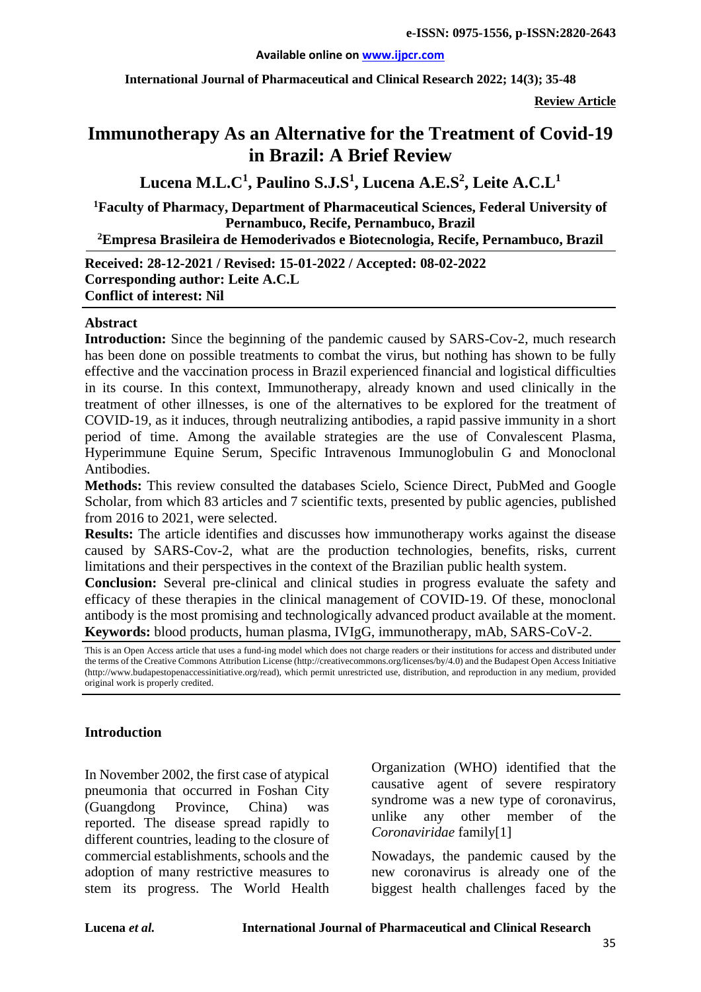#### **Available online on [www.ijpcr.com](http://www.ijpcr.com/)**

**International Journal of Pharmaceutical and Clinical Research 2022; 14(3); 35-48**

**Review Article**

# **Immunotherapy As an Alternative for the Treatment of Covid-19 in Brazil: A Brief Review**

**Lucena M.L.C1 , Paulino S.J.S1 , Lucena A.E.S<sup>2</sup> , Leite A.C.L1**

**1 Faculty of Pharmacy, Department of Pharmaceutical Sciences, Federal University of Pernambuco, Recife, Pernambuco, Brazil**

**2 Empresa Brasileira de Hemoderivados e Biotecnologia, Recife, Pernambuco, Brazil**

**Received: 28-12-2021 / Revised: 15-01-2022 / Accepted: 08-02-2022 Corresponding author: Leite A.C.L Conflict of interest: Nil**

#### **Abstract**

**Introduction:** Since the beginning of the pandemic caused by SARS-Cov-2, much research has been done on possible treatments to combat the virus, but nothing has shown to be fully effective and the vaccination process in Brazil experienced financial and logistical difficulties in its course. In this context, Immunotherapy, already known and used clinically in the treatment of other illnesses, is one of the alternatives to be explored for the treatment of COVID-19, as it induces, through neutralizing antibodies, a rapid passive immunity in a short period of time. Among the available strategies are the use of Convalescent Plasma, Hyperimmune Equine Serum, Specific Intravenous Immunoglobulin G and Monoclonal Antibodies.

**Methods:** This review consulted the databases Scielo, Science Direct, PubMed and Google Scholar, from which 83 articles and 7 scientific texts, presented by public agencies, published from 2016 to 2021, were selected.

**Results:** The article identifies and discusses how immunotherapy works against the disease caused by SARS-Cov-2, what are the production technologies, benefits, risks, current limitations and their perspectives in the context of the Brazilian public health system.

**Conclusion:** Several pre-clinical and clinical studies in progress evaluate the safety and efficacy of these therapies in the clinical management of COVID-19. Of these, monoclonal antibody is the most promising and technologically advanced product available at the moment. **Keywords:** blood products, human plasma, IVIgG, immunotherapy, mAb, SARS-CoV-2.

This is an Open Access article that uses a fund-ing model which does not charge readers or their institutions for access and distributed under the terms of the Creative Commons Attribution License (http://creativecommons.org/licenses/by/4.0) and the Budapest Open Access Initiative (http://www.budapestopenaccessinitiative.org/read), which permit unrestricted use, distribution, and reproduction in any medium, provided original work is properly credited.

#### **Introduction**

In November 2002, the first case of atypical pneumonia that occurred in Foshan City (Guangdong Province, China) was reported. The disease spread rapidly to different countries, leading to the closure of commercial establishments, schools and the adoption of many restrictive measures to stem its progress. The World Health Organization (WHO) identified that the causative agent of severe respiratory syndrome was a new type of coronavirus, unlike any other member of the *Coronaviridae* family[1]

Nowadays, the pandemic caused by the new coronavirus is already one of the biggest health challenges faced by the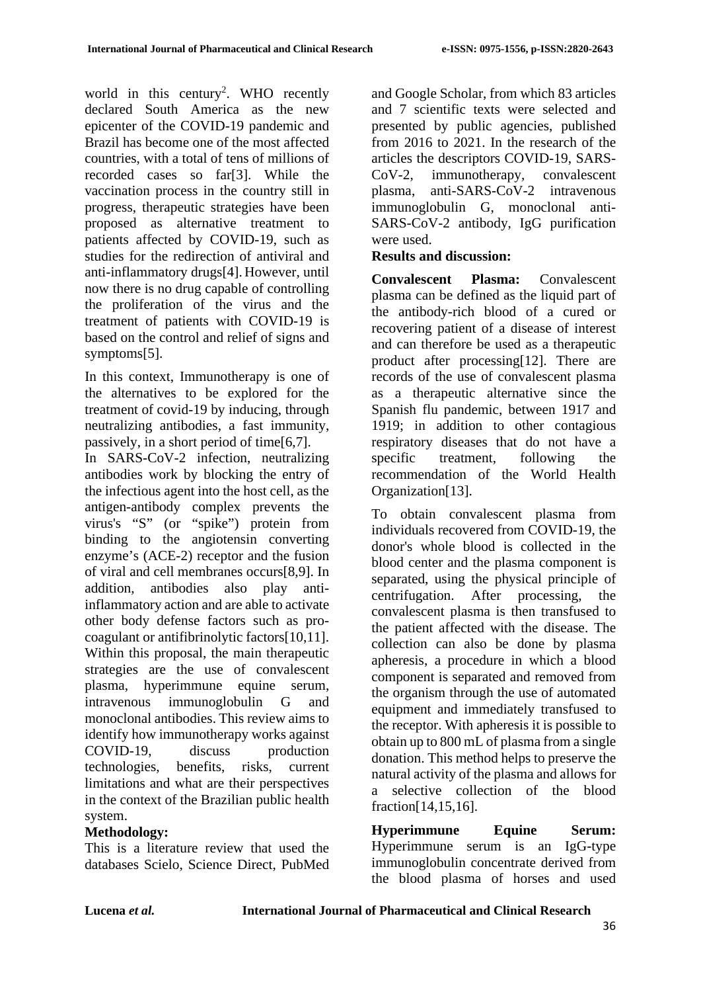world in this century<sup>2</sup>. WHO recently declared South America as the new epicenter of the COVID-19 pandemic and Brazil has become one of the most affected countries, with a total of tens of millions of recorded cases so far[3]. While the vaccination process in the country still in progress, therapeutic strategies have been proposed as alternative treatment to patients affected by COVID-19, such as studies for the redirection of antiviral and anti-inflammatory drugs[4]. However, until now there is no drug capable of controlling the proliferation of the virus and the treatment of patients with COVID-19 is based on the control and relief of signs and symptoms[5].

In this context, Immunotherapy is one of the alternatives to be explored for the treatment of covid-19 by inducing, through neutralizing antibodies, a fast immunity, passively, in a short period of time[6,7].

In SARS-CoV-2 infection, neutralizing antibodies work by blocking the entry of the infectious agent into the host cell, as the antigen-antibody complex prevents the virus's "S" (or "spike") protein from binding to the angiotensin converting enzyme's (ACE-2) receptor and the fusion of viral and cell membranes occurs[8,9]. In addition, antibodies also play antiinflammatory action and are able to activate other body defense factors such as procoagulant or antifibrinolytic factors[10,11]. Within this proposal, the main therapeutic strategies are the use of convalescent plasma, hyperimmune equine serum, intravenous immunoglobulin G and monoclonal antibodies. This review aims to identify how immunotherapy works against COVID-19, discuss production technologies, benefits, risks, current limitations and what are their perspectives in the context of the Brazilian public health system.

# **Methodology:**

This is a literature review that used the databases Scielo, Science Direct, PubMed

and Google Scholar, from which 83 articles and 7 scientific texts were selected and presented by public agencies, published from 2016 to 2021. In the research of the articles the descriptors COVID-19, SARS-CoV-2, immunotherapy, convalescent plasma, anti-SARS-CoV-2 intravenous immunoglobulin G, monoclonal anti-SARS-CoV-2 antibody, IgG purification were used.

## **Results and discussion:**

**Convalescent Plasma:** Convalescent plasma can be defined as the liquid part of the antibody-rich blood of a cured or recovering patient of a disease of interest and can therefore be used as a therapeutic product after processing[12]. There are records of the use of convalescent plasma as a therapeutic alternative since the Spanish flu pandemic, between 1917 and 1919; in addition to other contagious respiratory diseases that do not have a specific treatment, following the recommendation of the World Health Organization<sup>[13]</sup>.

To obtain convalescent plasma from individuals recovered from COVID-19, the donor's whole blood is collected in the blood center and the plasma component is separated, using the physical principle of centrifugation. After processing, the convalescent plasma is then transfused to the patient affected with the disease. The collection can also be done by plasma apheresis, a procedure in which a blood component is separated and removed from the organism through the use of automated equipment and immediately transfused to the receptor. With apheresis it is possible to obtain up to 800 mL of plasma from a single donation. This method helps to preserve the natural activity of the plasma and allows for a selective collection of the blood fraction[14,15,16].

**Hyperimmune Equine Serum:** Hyperimmune serum is an IgG-type immunoglobulin concentrate derived from the blood plasma of horses and used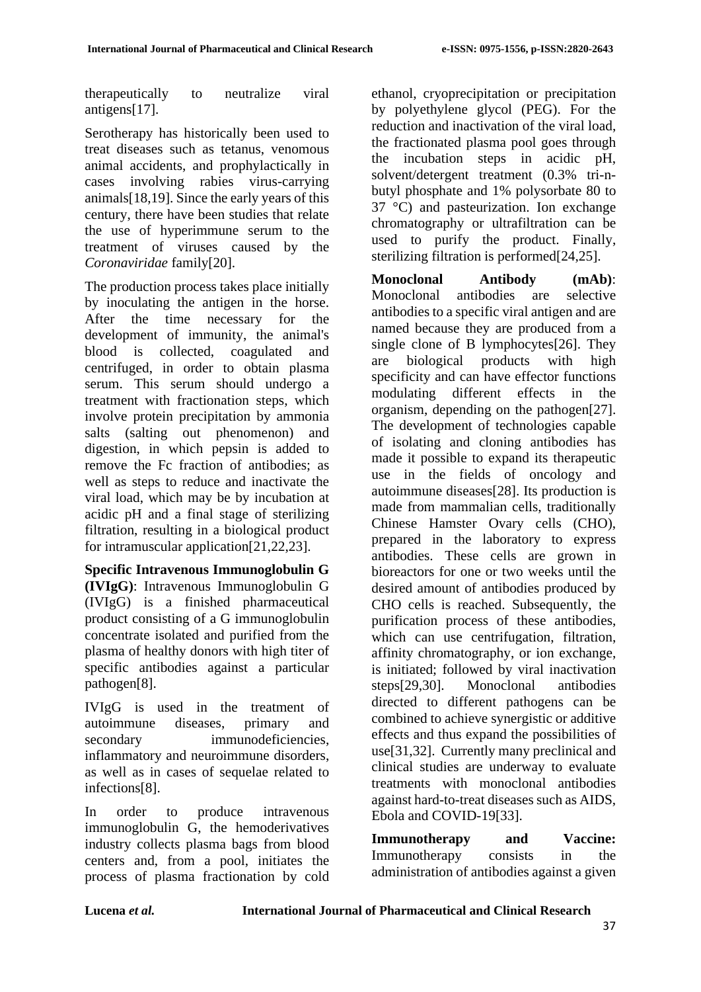therapeutically to neutralize viral antigens[17].

Serotherapy has historically been used to treat diseases such as tetanus, venomous animal accidents, and prophylactically in cases involving rabies virus-carrying animals[18,19]. Since the early years of this century, there have been studies that relate the use of hyperimmune serum to the treatment of viruses caused by the *Coronaviridae* family[20].

The production process takes place initially by inoculating the antigen in the horse. After the time necessary for the development of immunity, the animal's blood is collected, coagulated and centrifuged, in order to obtain plasma serum. This serum should undergo a treatment with fractionation steps, which involve protein precipitation by ammonia salts (salting out phenomenon) and digestion, in which pepsin is added to remove the Fc fraction of antibodies; as well as steps to reduce and inactivate the viral load, which may be by incubation at acidic pH and a final stage of sterilizing filtration, resulting in a biological product for intramuscular application[21,22,23].

**Specific Intravenous Immunoglobulin G (IVIgG)**: Intravenous Immunoglobulin G (IVIgG) is a finished pharmaceutical product consisting of a G immunoglobulin concentrate isolated and purified from the plasma of healthy donors with high titer of specific antibodies against a particular pathogen[8].

IVIgG is used in the treatment of autoimmune diseases, primary and secondary immunodeficiencies. inflammatory and neuroimmune disorders, as well as in cases of sequelae related to infections[8].

In order to produce intravenous immunoglobulin G, the hemoderivatives industry collects plasma bags from blood centers and, from a pool, initiates the process of plasma fractionation by cold ethanol, cryoprecipitation or precipitation by polyethylene glycol (PEG). For the reduction and inactivation of the viral load, the fractionated plasma pool goes through the incubation steps in acidic pH, solvent/detergent treatment (0.3% tri-nbutyl phosphate and 1% polysorbate 80 to 37 °C) and pasteurization. Ion exchange chromatography or ultrafiltration can be used to purify the product. Finally, sterilizing filtration is performed[24,25].

**Monoclonal Antibody (mAb)**: Monoclonal antibodies are selective antibodies to a specific viral antigen and are named because they are produced from a single clone of B lymphocytes[26]. They are biological products with high specificity and can have effector functions modulating different effects in the organism, depending on the pathogen[27]. The development of technologies capable of isolating and cloning antibodies has made it possible to expand its therapeutic use in the fields of oncology and autoimmune diseases[28]. Its production is made from mammalian cells, traditionally Chinese Hamster Ovary cells (CHO), prepared in the laboratory to express antibodies. These cells are grown in bioreactors for one or two weeks until the desired amount of antibodies produced by CHO cells is reached. Subsequently, the purification process of these antibodies, which can use centrifugation, filtration, affinity chromatography, or ion exchange, is initiated; followed by viral inactivation steps[29,30]. Monoclonal antibodies directed to different pathogens can be combined to achieve synergistic or additive effects and thus expand the possibilities of use[31,32]. Currently many preclinical and clinical studies are underway to evaluate treatments with monoclonal antibodies against hard-to-treat diseases such as AIDS, Ebola and COVID-19[33].

**Immunotherapy and Vaccine:**  Immunotherapy consists in the administration of antibodies against a given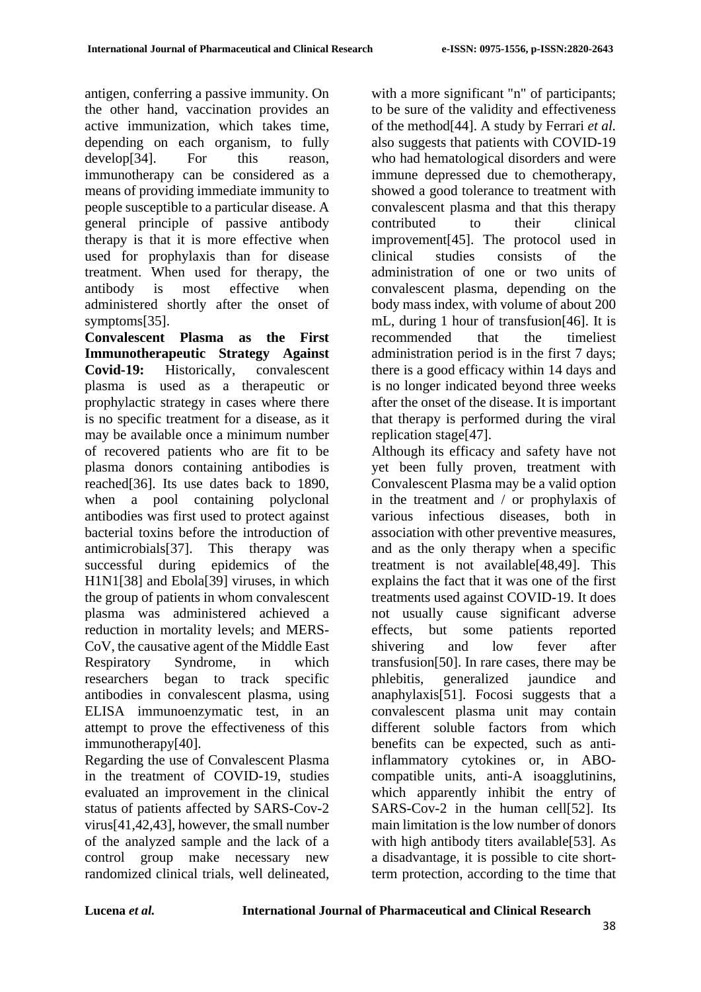antigen, conferring a passive immunity. On the other hand, vaccination provides an active immunization, which takes time, depending on each organism, to fully develop[34]. For this reason, immunotherapy can be considered as a means of providing immediate immunity to people susceptible to a particular disease. A general principle of passive antibody therapy is that it is more effective when used for prophylaxis than for disease treatment. When used for therapy, the antibody is most effective when administered shortly after the onset of symptoms[35].

**Convalescent Plasma as the First Immunotherapeutic Strategy Against Covid-19:** Historically, convalescent plasma is used as a therapeutic or prophylactic strategy in cases where there is no specific treatment for a disease, as it may be available once a minimum number of recovered patients who are fit to be plasma donors containing antibodies is reached[36]. Its use dates back to 1890, when a pool containing polyclonal antibodies was first used to protect against bacterial toxins before the introduction of antimicrobials[37]. This therapy was successful during epidemics of the H1N1[38] and Ebola[39] viruses, in which the group of patients in whom convalescent plasma was administered achieved a reduction in mortality levels; and MERS-CoV, the causative agent of the Middle East Respiratory Syndrome, in which researchers began to track specific antibodies in convalescent plasma, using ELISA immunoenzymatic test, in an attempt to prove the effectiveness of this immunotherapy[40].

Regarding the use of Convalescent Plasma in the treatment of COVID-19, studies evaluated an improvement in the clinical status of patients affected by SARS-Cov-2 virus[41,42,43], however, the small number of the analyzed sample and the lack of a control group make necessary new randomized clinical trials, well delineated, with a more significant "n" of participants; to be sure of the validity and effectiveness of the method[44]. A study by Ferrari *et al.* also suggests that patients with COVID-19 who had hematological disorders and were immune depressed due to chemotherapy, showed a good tolerance to treatment with convalescent plasma and that this therapy contributed to their clinical improvement[45]. The protocol used in clinical studies consists of the administration of one or two units of convalescent plasma, depending on the body mass index, with volume of about 200 mL, during 1 hour of transfusion[46]. It is recommended that the timeliest administration period is in the first 7 days; there is a good efficacy within 14 days and is no longer indicated beyond three weeks after the onset of the disease. It is important that therapy is performed during the viral replication stage[47].

Although its efficacy and safety have not yet been fully proven, treatment with Convalescent Plasma may be a valid option in the treatment and / or prophylaxis of various infectious diseases, both in association with other preventive measures, and as the only therapy when a specific treatment is not available[48,49]. This explains the fact that it was one of the first treatments used against COVID-19. It does not usually cause significant adverse effects, but some patients reported shivering and low fever after transfusion[50]. In rare cases, there may be phlebitis, generalized jaundice and anaphylaxis[51]. Focosi suggests that a convalescent plasma unit may contain different soluble factors from which benefits can be expected, such as antiinflammatory cytokines or, in ABOcompatible units, anti-A isoagglutinins, which apparently inhibit the entry of SARS-Cov-2 in the human cell[52]. Its main limitation is the low number of donors with high antibody titers available[53]. As a disadvantage, it is possible to cite shortterm protection, according to the time that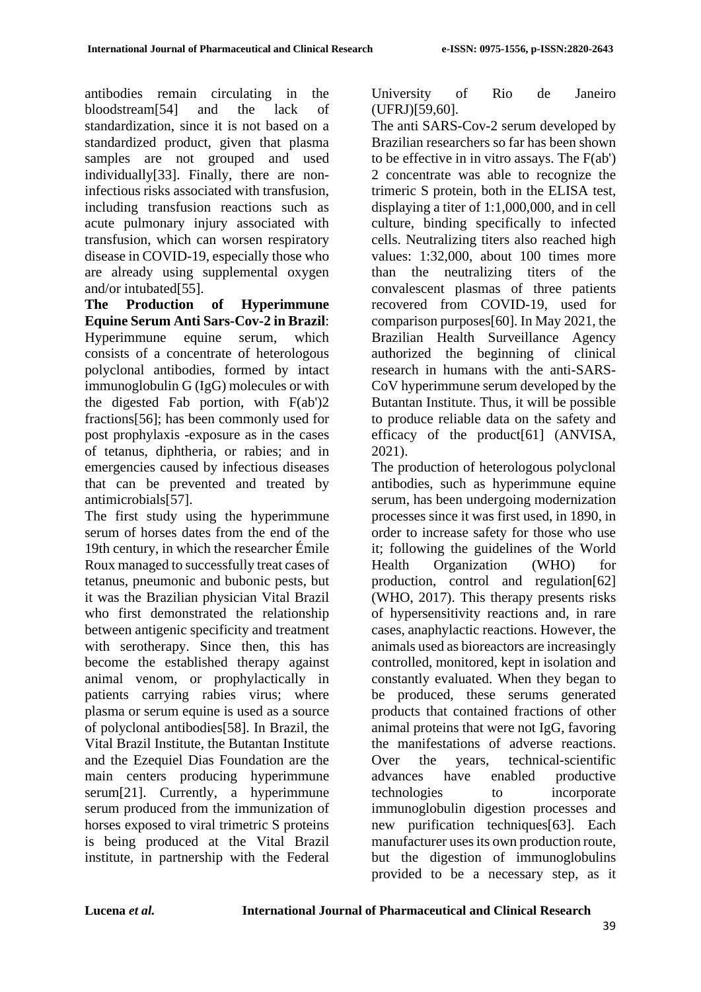antibodies remain circulating in the bloodstream[54] and the lack of standardization, since it is not based on a standardized product, given that plasma samples are not grouped and used individually[33]. Finally, there are noninfectious risks associated with transfusion, including transfusion reactions such as acute pulmonary injury associated with transfusion, which can worsen respiratory disease in COVID-19, especially those who are already using supplemental oxygen and/or intubated[55].

**The Production of Hyperimmune Equine Serum Anti Sars-Cov-2 in Brazil**: Hyperimmune equine serum, which consists of a concentrate of heterologous polyclonal antibodies, formed by intact immunoglobulin G (IgG) molecules or with the digested Fab portion, with  $F(ab')2$ fractions[56]; has been commonly used for post prophylaxis -exposure as in the cases of tetanus, diphtheria, or rabies; and in emergencies caused by infectious diseases that can be prevented and treated by antimicrobials[57].

The first study using the hyperimmune serum of horses dates from the end of the 19th century, in which the researcher Émile Roux managed to successfully treat cases of tetanus, pneumonic and bubonic pests, but it was the Brazilian physician Vital Brazil who first demonstrated the relationship between antigenic specificity and treatment with serotherapy. Since then, this has become the established therapy against animal venom, or prophylactically in patients carrying rabies virus; where plasma or serum equine is used as a source of polyclonal antibodies[58]. In Brazil, the Vital Brazil Institute, the Butantan Institute and the Ezequiel Dias Foundation are the main centers producing hyperimmune serum<sup>[21]</sup>. Currently, a hyperimmune serum produced from the immunization of horses exposed to viral trimetric S proteins is being produced at the Vital Brazil institute, in partnership with the Federal University of Rio de Janeiro (UFRJ)[59,60].

The anti SARS-Cov-2 serum developed by Brazilian researchers so far has been shown to be effective in in vitro assays. The F(ab') 2 concentrate was able to recognize the trimeric S protein, both in the ELISA test, displaying a titer of 1:1,000,000, and in cell culture, binding specifically to infected cells. Neutralizing titers also reached high values: 1:32,000, about 100 times more than the neutralizing titers of the convalescent plasmas of three patients recovered from COVID-19, used for comparison purposes[60]. In May 2021, the Brazilian Health Surveillance Agency authorized the beginning of clinical research in humans with the anti-SARS-CoV hyperimmune serum developed by the Butantan Institute. Thus, it will be possible to produce reliable data on the safety and efficacy of the product[61] (ANVISA, 2021).

The production of heterologous polyclonal antibodies, such as hyperimmune equine serum, has been undergoing modernization processes since it was first used, in 1890, in order to increase safety for those who use it; following the guidelines of the World Health Organization (WHO) for production, control and regulation[62] (WHO, 2017). This therapy presents risks of hypersensitivity reactions and, in rare cases, anaphylactic reactions. However, the animals used as bioreactors are increasingly controlled, monitored, kept in isolation and constantly evaluated. When they began to be produced, these serums generated products that contained fractions of other animal proteins that were not IgG, favoring the manifestations of adverse reactions. Over the years, technical-scientific advances have enabled productive technologies to incorporate immunoglobulin digestion processes and new purification techniques[63]. Each manufacturer uses its own production route, but the digestion of immunoglobulins provided to be a necessary step, as it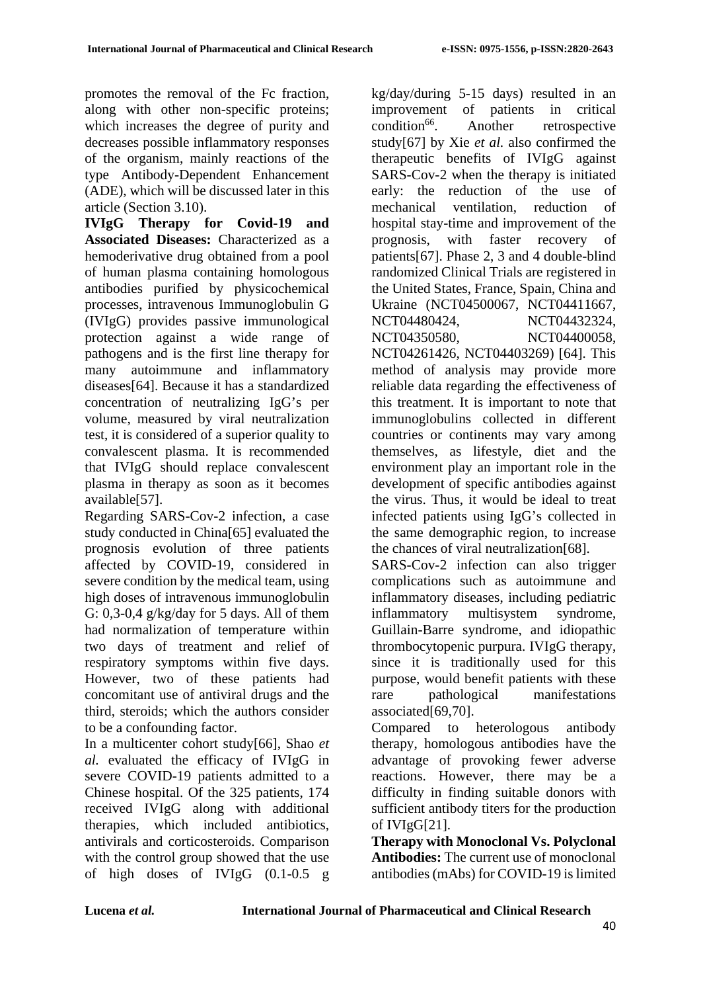promotes the removal of the Fc fraction, along with other non-specific proteins; which increases the degree of purity and decreases possible inflammatory responses of the organism, mainly reactions of the type Antibody-Dependent Enhancement (ADE), which will be discussed later in this article (Section 3.10).

**IVIgG Therapy for Covid-19 and Associated Diseases:** Characterized as a hemoderivative drug obtained from a pool of human plasma containing homologous antibodies purified by physicochemical processes, intravenous Immunoglobulin G (IVIgG) provides passive immunological protection against a wide range of pathogens and is the first line therapy for many autoimmune and inflammatory diseases[64]. Because it has a standardized concentration of neutralizing IgG's per volume, measured by viral neutralization test, it is considered of a superior quality to convalescent plasma. It is recommended that IVIgG should replace convalescent plasma in therapy as soon as it becomes available[57].

Regarding SARS-Cov-2 infection, a case study conducted in China[65] evaluated the prognosis evolution of three patients affected by COVID-19, considered in severe condition by the medical team, using high doses of intravenous immunoglobulin G: 0,3-0,4 g/kg/day for 5 days. All of them had normalization of temperature within two days of treatment and relief of respiratory symptoms within five days. However, two of these patients had concomitant use of antiviral drugs and the third, steroids; which the authors consider to be a confounding factor.

In a multicenter cohort study[66], Shao *et al.* evaluated the efficacy of IVIgG in severe COVID-19 patients admitted to a Chinese hospital. Of the 325 patients, 174 received IVIgG along with additional therapies, which included antibiotics, antivirals and corticosteroids. Comparison with the control group showed that the use of high doses of IVIgG (0.1-0.5 g kg/day/during 5-15 days) resulted in an improvement of patients in critical<br>condition<sup>66</sup> Another retrospective Another retrospective study[67] by Xie *et al.* also confirmed the therapeutic benefits of IVIgG against SARS-Cov-2 when the therapy is initiated early: the reduction of the use of mechanical ventilation, reduction of hospital stay-time and improvement of the prognosis, with faster recovery of patients[67]. Phase 2, 3 and 4 double-blind randomized Clinical Trials are registered in the United States, France, Spain, China and Ukraine (NCT04500067, NCT04411667, NCT04480424, NCT04432324, NCT04350580, NCT04400058, NCT04261426, NCT04403269) [64]. This method of analysis may provide more reliable data regarding the effectiveness of this treatment. It is important to note that immunoglobulins collected in different countries or continents may vary among themselves, as lifestyle, diet and the environment play an important role in the development of specific antibodies against the virus. Thus, it would be ideal to treat infected patients using IgG's collected in the same demographic region, to increase the chances of viral neutralization[68].

SARS-Cov-2 infection can also trigger complications such as autoimmune and inflammatory diseases, including pediatric inflammatory multisystem syndrome, Guillain-Barre syndrome, and idiopathic thrombocytopenic purpura. IVIgG therapy, since it is traditionally used for this purpose, would benefit patients with these rare pathological manifestations associated[69,70].

Compared to heterologous antibody therapy, homologous antibodies have the advantage of provoking fewer adverse reactions. However, there may be a difficulty in finding suitable donors with sufficient antibody titers for the production of IVIgG[21].

**Therapy with Monoclonal Vs. Polyclonal Antibodies:** The current use of monoclonal antibodies (mAbs) for COVID-19 is limited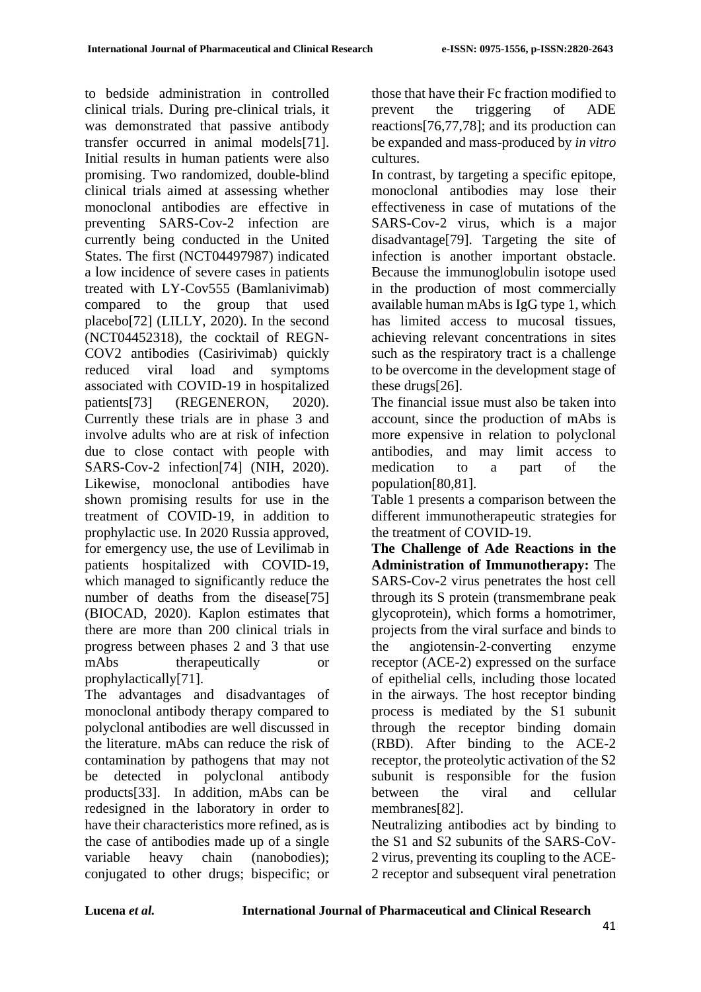to bedside administration in controlled clinical trials. During pre-clinical trials, it was demonstrated that passive antibody transfer occurred in animal models[71]. Initial results in human patients were also promising. Two randomized, double-blind clinical trials aimed at assessing whether monoclonal antibodies are effective in preventing SARS-Cov-2 infection are currently being conducted in the United States. The first (NCT04497987) indicated a low incidence of severe cases in patients treated with LY-Cov555 (Bamlanivimab) compared to the group that used placebo[72] (LILLY, 2020). In the second (NCT04452318), the cocktail of REGN-COV2 antibodies (Casirivimab) quickly reduced viral load and symptoms associated with COVID-19 in hospitalized patients[73] (REGENERON, 2020). Currently these trials are in phase 3 and involve adults who are at risk of infection due to close contact with people with SARS-Cov-2 infection[74] (NIH, 2020). Likewise, monoclonal antibodies have shown promising results for use in the treatment of COVID-19, in addition to prophylactic use. In 2020 Russia approved, for emergency use, the use of Levilimab in patients hospitalized with COVID-19, which managed to significantly reduce the number of deaths from the disease[75] (BIOCAD, 2020). Kaplon estimates that there are more than 200 clinical trials in progress between phases 2 and 3 that use mAbs therapeutically or prophylactically[71].

The advantages and disadvantages of monoclonal antibody therapy compared to polyclonal antibodies are well discussed in the literature. mAbs can reduce the risk of contamination by pathogens that may not be detected in polyclonal antibody products[33]. In addition, mAbs can be redesigned in the laboratory in order to have their characteristics more refined, as is the case of antibodies made up of a single variable heavy chain (nanobodies); conjugated to other drugs; bispecific; or

those that have their Fc fraction modified to prevent the triggering of ADE reactions[76,77,78]; and its production can be expanded and mass-produced by *in vitro* cultures.

In contrast, by targeting a specific epitope, monoclonal antibodies may lose their effectiveness in case of mutations of the SARS-Cov-2 virus, which is a major disadvantage[79]. Targeting the site of infection is another important obstacle. Because the immunoglobulin isotope used in the production of most commercially available human mAbs is IgG type 1, which has limited access to mucosal tissues, achieving relevant concentrations in sites such as the respiratory tract is a challenge to be overcome in the development stage of these drugs[26].

The financial issue must also be taken into account, since the production of mAbs is more expensive in relation to polyclonal antibodies, and may limit access to medication to a part of the population[80,81].

Table 1 presents a comparison between the different immunotherapeutic strategies for the treatment of COVID-19.

**The Challenge of Ade Reactions in the Administration of Immunotherapy:** The SARS-Cov-2 virus penetrates the host cell through its S protein (transmembrane peak glycoprotein), which forms a homotrimer, projects from the viral surface and binds to the angiotensin-2-converting enzyme receptor (ACE-2) expressed on the surface of epithelial cells, including those located in the airways. The host receptor binding process is mediated by the S1 subunit through the receptor binding domain (RBD). After binding to the ACE-2 receptor, the proteolytic activation of the S2 subunit is responsible for the fusion between the viral and cellular membranes[82].

Neutralizing antibodies act by binding to the S1 and S2 subunits of the SARS-CoV-2 virus, preventing its coupling to the ACE-2 receptor and subsequent viral penetration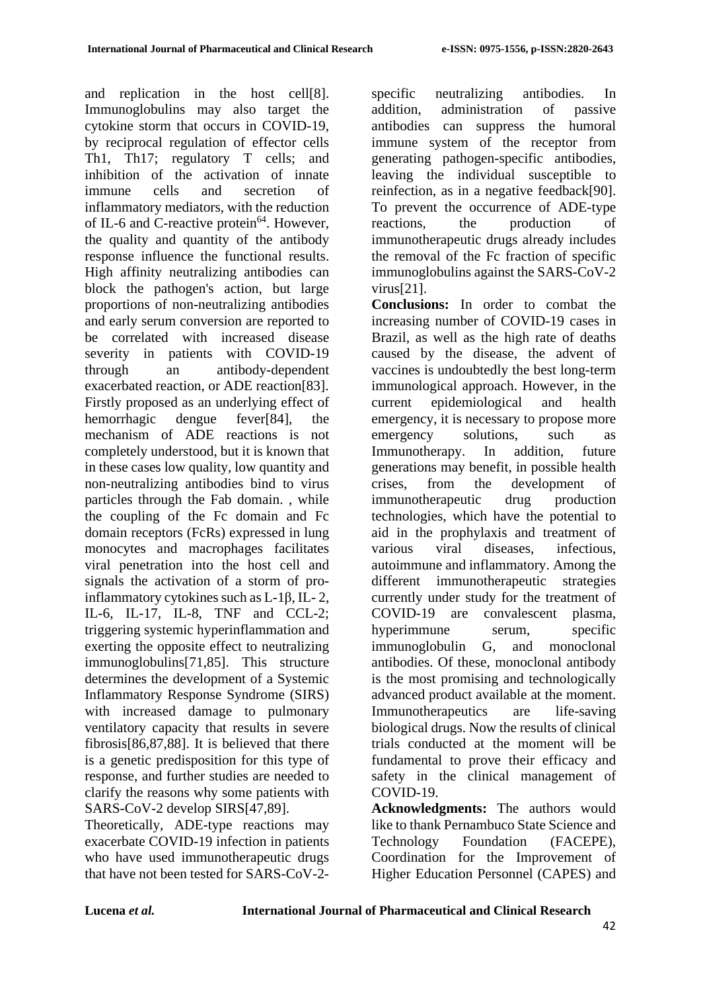and replication in the host cell[8]. Immunoglobulins may also target the cytokine storm that occurs in COVID-19, by reciprocal regulation of effector cells Th1, Th17; regulatory T cells; and inhibition of the activation of innate immune cells and secretion of inflammatory mediators, with the reduction of IL-6 and C-reactive protein $^{64}$ . However, the quality and quantity of the antibody response influence the functional results. High affinity neutralizing antibodies can block the pathogen's action, but large proportions of non-neutralizing antibodies and early serum conversion are reported to be correlated with increased disease severity in patients with COVID-19 through an antibody-dependent exacerbated reaction, or ADE reaction[83]. Firstly proposed as an underlying effect of hemorrhagic dengue fever[84], the mechanism of ADE reactions is not completely understood, but it is known that in these cases low quality, low quantity and non-neutralizing antibodies bind to virus particles through the Fab domain. , while the coupling of the Fc domain and Fc domain receptors (FcRs) expressed in lung monocytes and macrophages facilitates viral penetration into the host cell and signals the activation of a storm of proinflammatory cytokines such as L-1β, IL- 2, IL-6, IL-17, IL-8, TNF and CCL-2; triggering systemic hyperinflammation and exerting the opposite effect to neutralizing immunoglobulins[71,85]. This structure determines the development of a Systemic Inflammatory Response Syndrome (SIRS) with increased damage to pulmonary ventilatory capacity that results in severe fibrosis[86,87,88]. It is believed that there is a genetic predisposition for this type of response, and further studies are needed to clarify the reasons why some patients with SARS-CoV-2 develop SIRS[47,89].

Theoretically, ADE-type reactions may exacerbate COVID-19 infection in patients who have used immunotherapeutic drugs that have not been tested for SARS-CoV-2specific neutralizing antibodies. In addition, administration of passive antibodies can suppress the humoral immune system of the receptor from generating pathogen-specific antibodies, leaving the individual susceptible to reinfection, as in a negative feedback[90]. To prevent the occurrence of ADE-type reactions, the production of immunotherapeutic drugs already includes the removal of the Fc fraction of specific immunoglobulins against the SARS-CoV-2 virus[21].

**Conclusions:** In order to combat the increasing number of COVID-19 cases in Brazil, as well as the high rate of deaths caused by the disease, the advent of vaccines is undoubtedly the best long-term immunological approach. However, in the current epidemiological and health emergency, it is necessary to propose more emergency solutions, such as Immunotherapy. In addition, future generations may benefit, in possible health crises, from the development of immunotherapeutic drug production technologies, which have the potential to aid in the prophylaxis and treatment of various viral diseases, infectious, autoimmune and inflammatory. Among the different immunotherapeutic strategies currently under study for the treatment of COVID-19 are convalescent plasma, hyperimmune serum, specific immunoglobulin G, and monoclonal antibodies. Of these, monoclonal antibody is the most promising and technologically advanced product available at the moment. Immunotherapeutics are life-saving biological drugs. Now the results of clinical trials conducted at the moment will be fundamental to prove their efficacy and safety in the clinical management of COVID-19.

**Acknowledgments:** The authors would like to thank Pernambuco State Science and Technology Foundation (FACEPE), Coordination for the Improvement of Higher Education Personnel (CAPES) and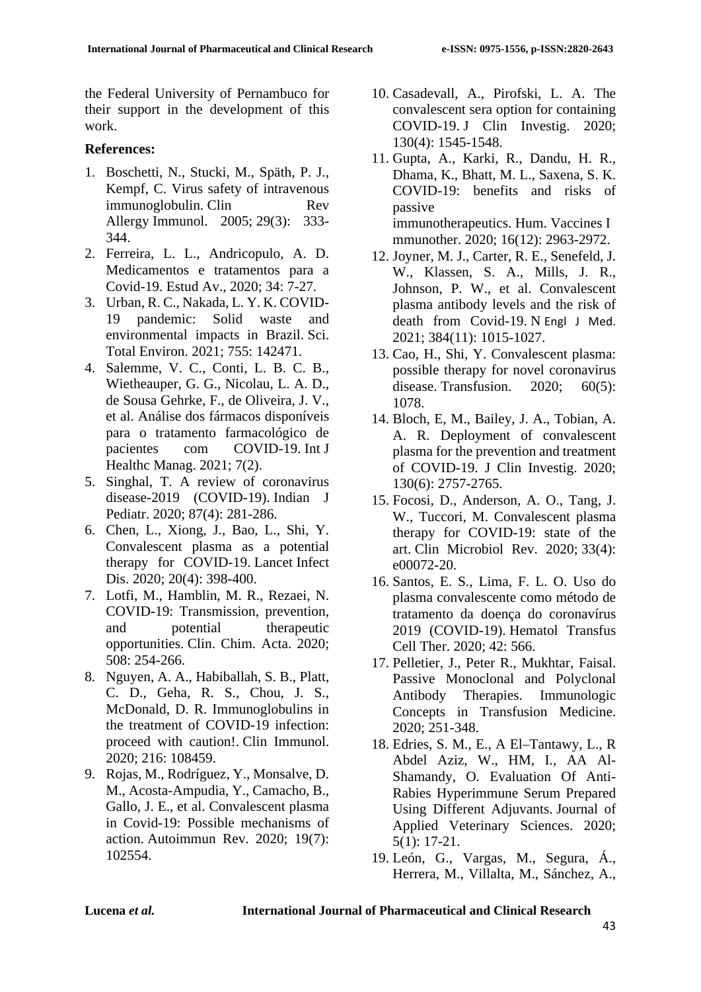the Federal University of Pernambuco for their support in the development of this work.

### **References:**

- 1. Boschetti, N., Stucki, M., Späth, P. J., Kempf, C. Virus safety of intravenous immunoglobulin. Clin Rev Allergy Immunol. 2005; 29(3): 333- 344.
- 2. Ferreira, L. L., Andricopulo, A. D. Medicamentos e tratamentos para a Covid-19. Estud Av., 2020; 34: 7-27.
- 3. Urban, R. C., Nakada, L. Y. K. COVID-19 pandemic: Solid waste and environmental impacts in Brazil. Sci. Total Environ. 2021; 755: 142471.
- 4. Salemme, V. C., Conti, L. B. C. B., Wietheauper, G. G., Nicolau, L. A. D., de Sousa Gehrke, F., de Oliveira, J. V., et al. Análise dos fármacos disponíveis para o tratamento farmacológico de pacientes com COVID-19. Int J Healthc Manag. 2021; 7(2).
- 5. Singhal, T. A review of coronavirus disease-2019 (COVID-19). Indian J Pediatr. 2020; 87(4): 281-286.
- 6. Chen, L., Xiong, J., Bao, L., Shi, Y. Convalescent plasma as a potential therapy for COVID-19. Lancet Infect Dis. 2020; 20(4): 398-400.
- 7. Lotfi, M., Hamblin, M. R., Rezaei, N. COVID-19: Transmission, prevention, and potential therapeutic opportunities. Clin. Chim. Acta. 2020; 508: 254-266.
- 8. Nguyen, A. A., Habiballah, S. B., Platt, C. D., Geha, R. S., Chou, J. S., McDonald, D. R. Immunoglobulins in the treatment of COVID-19 infection: proceed with caution!. Clin Immunol. 2020; 216: 108459.
- 9. Rojas, M., Rodríguez, Y., Monsalve, D. M., Acosta-Ampudia, Y., Camacho, B., Gallo, J. E., et al. Convalescent plasma in Covid-19: Possible mechanisms of action. Autoimmun Rev. 2020; 19(7): 102554.
- 10. Casadevall, A., Pirofski, L. A. The convalescent sera option for containing COVID-19. J Clin Investig. 2020; 130(4): 1545-1548.
- 11. Gupta, A., Karki, R., Dandu, H. R., Dhama, K., Bhatt, M. L., Saxena, S. K. COVID-19: benefits and risks of passive immunotherapeutics. Hum. Vaccines I mmunother. 2020; 16(12): 2963-2972.
- 12. Joyner, M. J., Carter, R. E., Senefeld, J. W., Klassen, S. A., Mills, J. R., Johnson, P. W., et al. Convalescent plasma antibody levels and the risk of death from Covid-19. N Engl J Med. 2021; 384(11): 1015-1027.
- 13. Cao, H., Shi, Y. Convalescent plasma: possible therapy for novel coronavirus disease. Transfusion. 2020: 60(5): 1078.
- 14. Bloch, E, M., Bailey, J. A., Tobian, A. A. R. Deployment of convalescent plasma for the prevention and treatment of COVID-19. J Clin Investig. 2020; 130(6): 2757-2765.
- 15. Focosi, D., Anderson, A. O., Tang, J. W., Tuccori, M. Convalescent plasma therapy for COVID-19: state of the art. Clin Microbiol Rev. 2020; 33(4): e00072-20.
- 16. Santos, E. S., Lima, F. L. O. Uso do plasma convalescente como método de tratamento da doença do coronavírus 2019 (COVID-19). Hematol Transfus Cell Ther. 2020; 42: 566.
- 17. Pelletier, J., Peter R., Mukhtar, Faisal. Passive Monoclonal and Polyclonal Antibody Therapies. Immunologic Concepts in Transfusion Medicine. 2020; 251-348.
- 18. Edries, S. M., E., A El–Tantawy, L., R Abdel Aziz, W., HM, I., AA Al-Shamandy, O. Evaluation Of Anti-Rabies Hyperimmune Serum Prepared Using Different Adjuvants. Journal of Applied Veterinary Sciences. 2020; 5(1): 17-21.
- 19. León, G., Vargas, M., Segura, Á., Herrera, M., Villalta, M., Sánchez, A.,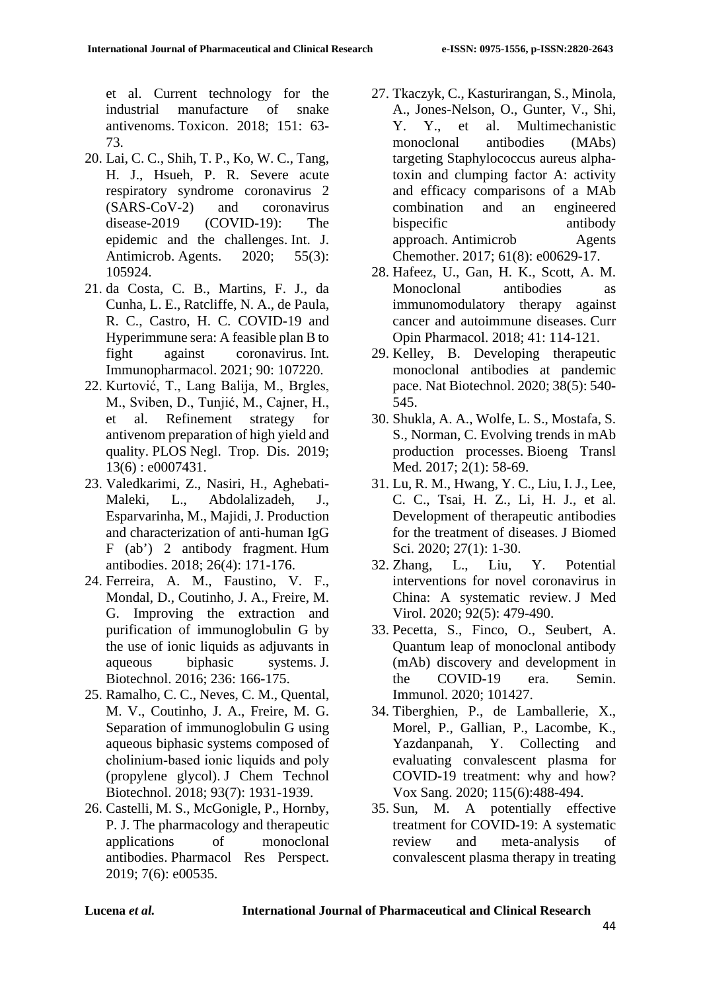et al. Current technology for the industrial manufacture of snake antivenoms. Toxicon. 2018; 151: 63- 73.

- 20. Lai, C. C., Shih, T. P., Ko, W. C., Tang, H. J., Hsueh, P. R. Severe acute respiratory syndrome coronavirus 2 (SARS-CoV-2) and coronavirus disease-2019 (COVID-19): The epidemic and the challenges. Int. J. Antimicrob. Agents. 2020; 55(3): 105924.
- 21. da Costa, C. B., Martins, F. J., da Cunha, L. E., Ratcliffe, N. A., de Paula, R. C., Castro, H. C. COVID-19 and Hyperimmune sera: A feasible plan B to fight against coronavirus. Int. Immunopharmacol. 2021; 90: 107220.
- 22. Kurtović, T., Lang Balija, M., Brgles, M., Sviben, D., Tunjić, M., Cajner, H., et al. Refinement strategy for antivenom preparation of high yield and quality. PLOS Negl. Trop. Dis. 2019; 13(6) : e0007431.
- 23. Valedkarimi, Z., Nasiri, H., Aghebati-Maleki, L., Abdolalizadeh, J., Esparvarinha, M., Majidi, J. Production and characterization of anti-human IgG F (ab') 2 antibody fragment. Hum antibodies. 2018; 26(4): 171-176.
- 24. Ferreira, A. M., Faustino, V. F., Mondal, D., Coutinho, J. A., Freire, M. G. Improving the extraction and purification of immunoglobulin G by the use of ionic liquids as adjuvants in aqueous biphasic systems. J. Biotechnol. 2016; 236: 166-175.
- 25. Ramalho, C. C., Neves, C. M., Quental, M. V., Coutinho, J. A., Freire, M. G. Separation of immunoglobulin G using aqueous biphasic systems composed of cholinium‐based ionic liquids and poly (propylene glycol). J Chem Technol Biotechnol. 2018; 93(7): 1931-1939.
- 26. Castelli, M. S., McGonigle, P., Hornby, P. J. The pharmacology and therapeutic applications of monoclonal antibodies. Pharmacol Res Perspect. 2019; 7(6): e00535.
- 27. Tkaczyk, C., Kasturirangan, S., Minola, A., Jones-Nelson, O., Gunter, V., Shi, Y. Y., et al. Multimechanistic monoclonal antibodies (MAbs) targeting Staphylococcus aureus alphatoxin and clumping factor A: activity and efficacy comparisons of a MAb combination and an engineered bispecific antibody approach. Antimicrob Agents Chemother. 2017; 61(8): e00629-17.
- 28. Hafeez, U., Gan, H. K., Scott, A. M. Monoclonal antibodies as immunomodulatory therapy against cancer and autoimmune diseases. Curr Opin Pharmacol. 2018; 41: 114-121.
- 29. Kelley, B. Developing therapeutic monoclonal antibodies at pandemic pace. Nat Biotechnol. 2020; 38(5): 540- 545.
- 30. Shukla, A. A., Wolfe, L. S., Mostafa, S. S., Norman, C. Evolving trends in mAb production processes. Bioeng Transl Med. 2017; 2(1): 58-69.
- 31. Lu, R. M., Hwang, Y. C., Liu, I. J., Lee, C. C., Tsai, H. Z., Li, H. J., et al. Development of therapeutic antibodies for the treatment of diseases. J Biomed Sci. 2020; 27(1): 1-30.
- 32. Zhang, L., Liu, Y. Potential interventions for novel coronavirus in China: A systematic review. J Med Virol. 2020; 92(5): 479-490.
- 33. Pecetta, S., Finco, O., Seubert, A. Quantum leap of monoclonal antibody (mAb) discovery and development in the COVID-19 era. Semin. Immunol. 2020; 101427.
- 34. Tiberghien, P., de Lamballerie, X., Morel, P., Gallian, P., Lacombe, K., Yazdanpanah, Y. Collecting and evaluating convalescent plasma for COVID-19 treatment: why and how? Vox Sang. 2020; 115(6):488-494.
- 35. Sun, M. A potentially effective treatment for COVID-19: A systematic review and meta-analysis of convalescent plasma therapy in treating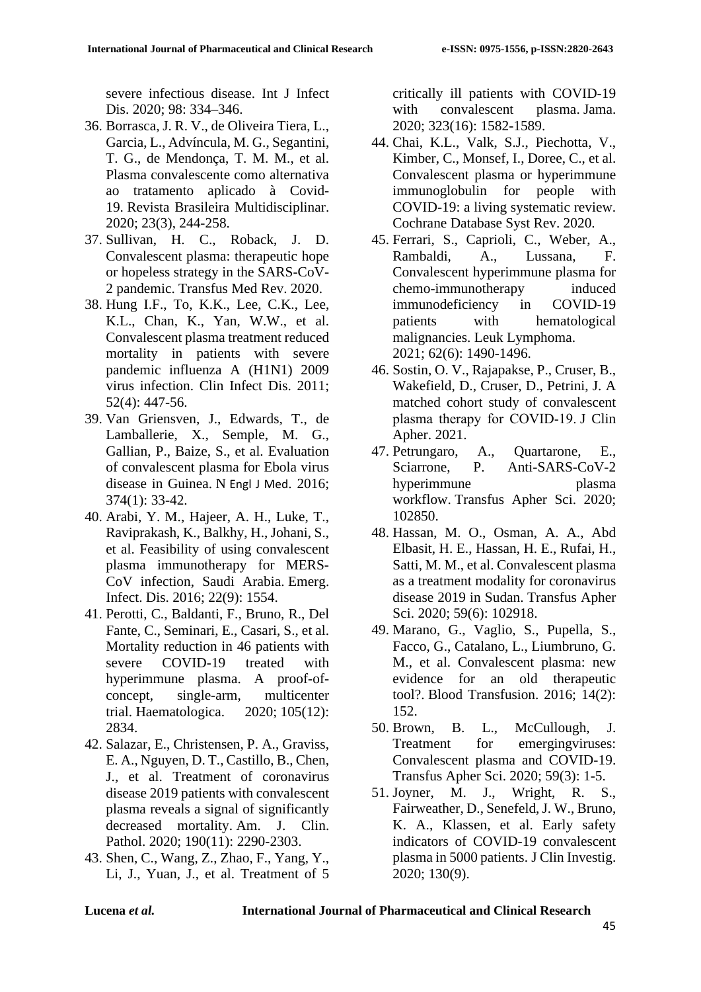severe infectious disease. Int J Infect Dis. 2020; 98: 334–346.

- 36. Borrasca, J. R. V., de Oliveira Tiera, L., Garcia, L., Advíncula, M. G., Segantini, T. G., de Mendonça, T. M. M., et al. Plasma convalescente como alternativa ao tratamento aplicado à Covid-19. Revista Brasileira Multidisciplinar. 2020; 23(3), 244-258.
- 37. Sullivan, H. C., Roback, J. D. Convalescent plasma: therapeutic hope or hopeless strategy in the SARS-CoV-2 pandemic. Transfus Med Rev. 2020.
- 38. Hung I.F., To, K.K., Lee, C.K., Lee, K.L., Chan, K., Yan, W.W., et al. Convalescent plasma treatment reduced mortality in patients with severe pandemic influenza A (H1N1) 2009 virus infection. Clin Infect Dis. 2011; 52(4): 447-56.
- 39. Van Griensven, J., Edwards, T., de Lamballerie, X., Semple, M. G., Gallian, P., Baize, S., et al. Evaluation of convalescent plasma for Ebola virus disease in Guinea. N Engl J Med. 2016; 374(1): 33-42.
- 40. Arabi, Y. M., Hajeer, A. H., Luke, T., Raviprakash, K., Balkhy, H., Johani, S., et al. Feasibility of using convalescent plasma immunotherapy for MERS-CoV infection, Saudi Arabia. Emerg. Infect. Dis. 2016; 22(9): 1554.
- 41. Perotti, C., Baldanti, F., Bruno, R., Del Fante, C., Seminari, E., Casari, S., et al. Mortality reduction in 46 patients with severe COVID-19 treated with hyperimmune plasma. A proof-ofconcept, single-arm, multicenter trial. Haematologica. 2020; 105(12): 2834.
- 42. Salazar, E., Christensen, P. A., Graviss, E. A., Nguyen, D. T., Castillo, B., Chen, J., et al. Treatment of coronavirus disease 2019 patients with convalescent plasma reveals a signal of significantly decreased mortality. Am. J. Clin. Pathol. 2020; 190(11): 2290-2303.
- 43. Shen, C., Wang, Z., Zhao, F., Yang, Y., Li, J., Yuan, J., et al. Treatment of 5

critically ill patients with COVID-19 with convalescent plasma. Jama. 2020; 323(16): 1582-1589.

- 44. Chai, K.L., Valk, S.J., Piechotta, V., Kimber, C., Monsef, I., Doree, C., et al. Convalescent plasma or hyperimmune immunoglobulin for people with COVID-19: a living systematic review. Cochrane Database Syst Rev. 2020.
- 45. Ferrari, S., Caprioli, C., Weber, A., Rambaldi, A., Lussana, F. Convalescent hyperimmune plasma for chemo-immunotherapy induced immunodeficiency in COVID-19 patients with hematological malignancies. Leuk Lymphoma. 2021; 62(6): 1490-1496.
- 46. Sostin, O. V., Rajapakse, P., Cruser, B., Wakefield, D., Cruser, D., Petrini, J. A matched cohort study of convalescent plasma therapy for COVID‐19. J Clin Apher. 2021.
- 47. Petrungaro, A., Quartarone, E., Sciarrone, P. Anti-SARS-CoV-2 hyperimmune plasma workflow. Transfus Apher Sci. 2020; 102850.
- 48. Hassan, M. O., Osman, A. A., Abd Elbasit, H. E., Hassan, H. E., Rufai, H., Satti, M. M., et al. Convalescent plasma as a treatment modality for coronavirus disease 2019 in Sudan. Transfus Apher Sci. 2020; 59(6): 102918.
- 49. Marano, G., Vaglio, S., Pupella, S., Facco, G., Catalano, L., Liumbruno, G. M., et al. Convalescent plasma: new evidence for an old therapeutic tool?. Blood Transfusion. 2016; 14(2): 152.
- 50. Brown, B. L., McCullough, J. Treatment for emergingviruses: Convalescent plasma and COVID-19. Transfus Apher Sci. 2020; 59(3): 1-5.
- 51. Joyner, M. J., Wright, R. S., Fairweather, D., Senefeld, J. W., Bruno, K. A., Klassen, et al. Early safety indicators of COVID-19 convalescent plasma in 5000 patients. J Clin Investig. 2020; 130(9).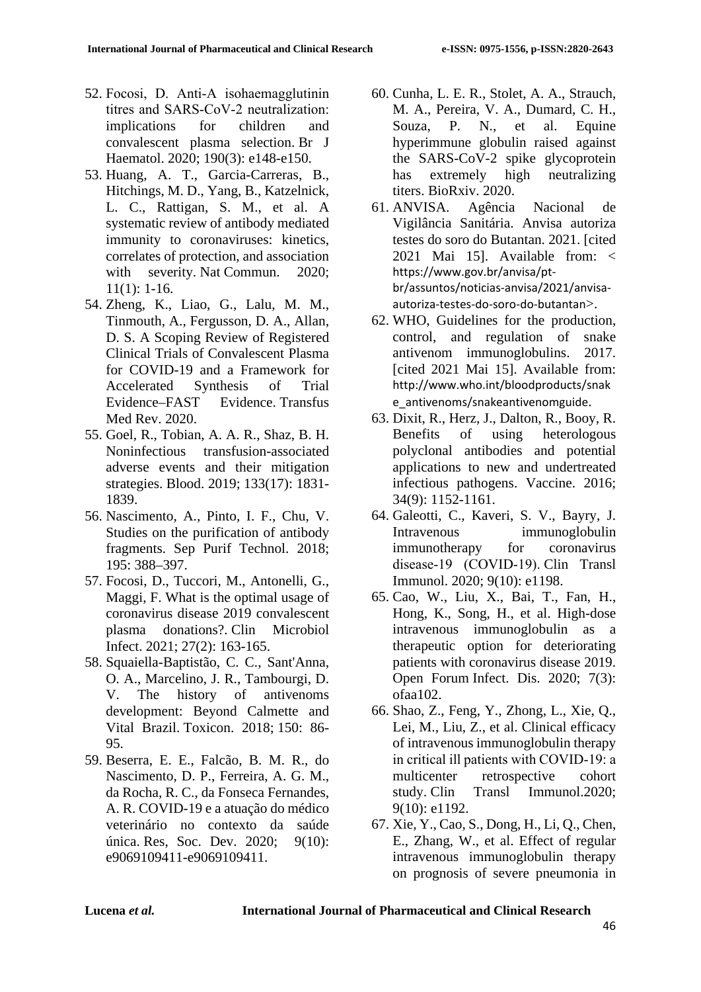- 52. Focosi, D. Anti‐A isohaemagglutinin titres and SARS‐CoV‐2 neutralization: implications for children and convalescent plasma selection. Br J Haematol. 2020; 190(3): e148-e150.
- 53. Huang, A. T., Garcia-Carreras, B., Hitchings, M. D., Yang, B., Katzelnick, L. C., Rattigan, S. M., et al. A systematic review of antibody mediated immunity to coronaviruses: kinetics, correlates of protection, and association with severity. Nat Commun. 2020; 11(1): 1-16.
- 54. Zheng, K., Liao, G., Lalu, M. M., Tinmouth, A., Fergusson, D. A., Allan, D. S. A Scoping Review of Registered Clinical Trials of Convalescent Plasma for COVID-19 and a Framework for Accelerated Synthesis of Trial Evidence–FAST Evidence. Transfus Med Rev. 2020.
- 55. Goel, R., Tobian, A. A. R., Shaz, B. H. Noninfectious transfusion-associated adverse events and their mitigation strategies. Blood. 2019; 133(17): 1831- 1839.
- 56. Nascimento, A., Pinto, I. F., Chu, V. Studies on the purification of antibody fragments. Sep Purif Technol. 2018; 195: 388–397.
- 57. Focosi, D., Tuccori, M., Antonelli, G., Maggi, F. What is the optimal usage of coronavirus disease 2019 convalescent plasma donations?. Clin Microbiol Infect. 2021; 27(2): 163-165.
- 58. Squaiella-Baptistão, C. C., Sant'Anna, O. A., Marcelino, J. R., Tambourgi, D. V. The history of antivenoms development: Beyond Calmette and Vital Brazil. Toxicon. 2018; 150: 86- 95.
- 59. Beserra, E. E., Falcão, B. M. R., do Nascimento, D. P., Ferreira, A. G. M., da Rocha, R. C., da Fonseca Fernandes, A. R. COVID-19 e a atuação do médico veterinário no contexto da saúde única. Res, Soc. Dev. 2020; 9(10): e9069109411-e9069109411.
- 60. Cunha, L. E. R., Stolet, A. A., Strauch, M. A., Pereira, V. A., Dumard, C. H., Souza, P. N., et al. Equine hyperimmune globulin raised against the SARS-CoV-2 spike glycoprotein has extremely high neutralizing titers. BioRxiv. 2020.
- 61. ANVISA. Agência Nacional de Vigilância Sanitária. Anvisa autoriza testes do soro do Butantan. 2021. [cited 2021 Mai 15]. Available from: < [https://www.gov.br/anvisa/pt](https://www.gov.br/anvisa/pt-br/assuntos/noticias-anvisa/2021/anvisa-autoriza-testes-do-soro-do-butantan)[br/assuntos/noticias-anvisa/2021/anvisa](https://www.gov.br/anvisa/pt-br/assuntos/noticias-anvisa/2021/anvisa-autoriza-testes-do-soro-do-butantan)[autoriza-testes-do-soro-do-butantan](https://www.gov.br/anvisa/pt-br/assuntos/noticias-anvisa/2021/anvisa-autoriza-testes-do-soro-do-butantan)>.
- 62. WHO, Guidelines for the production, control, and regulation of snake antivenom immunoglobulins. 2017. [cited 2021 Mai 15]. Available from: [http://www.who.int/bloodproducts/snak](http://www.who.int/bloodproducts/snake_antivenoms/snakeantivenomguide) [e\\_antivenoms/snakeantivenomguide](http://www.who.int/bloodproducts/snake_antivenoms/snakeantivenomguide).
- 63. Dixit, R., Herz, J., Dalton, R., Booy, R. Benefits of using heterologous polyclonal antibodies and potential applications to new and undertreated infectious pathogens. Vaccine. 2016; 34(9): 1152-1161.
- 64. Galeotti, C., Kaveri, S. V., Bayry, J. Intravenous immunoglobulin immunotherapy for coronavirus disease‐19 (COVID‐19). Clin Transl Immunol. 2020; 9(10): e1198.
- 65. Cao, W., Liu, X., Bai, T., Fan, H., Hong, K., Song, H., et al. High-dose intravenous immunoglobulin as a therapeutic option for deteriorating patients with coronavirus disease 2019. Open Forum Infect. Dis. 2020; 7(3): ofaa102.
- 66. Shao, Z., Feng, Y., Zhong, L., Xie, Q., Lei, M., Liu, Z., et al. Clinical efficacy of intravenous immunoglobulin therapy in critical ill patients with COVID‐19: a multicenter retrospective cohort study. Clin Transl Immunol.2020; 9(10): e1192.
- 67. Xie, Y., Cao, S., Dong, H., Li, Q., Chen, E., Zhang, W., et al. Effect of regular intravenous immunoglobulin therapy on prognosis of severe pneumonia in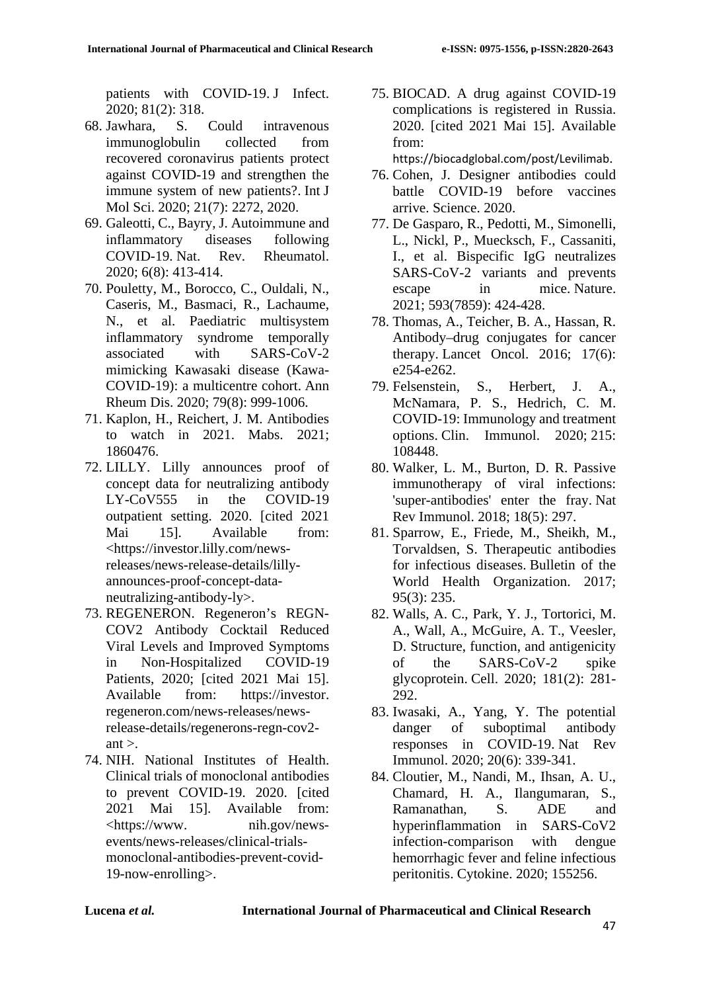patients with COVID-19. J Infect. 2020; 81(2): 318.

- 68. Jawhara, S. Could intravenous immunoglobulin collected from recovered coronavirus patients protect against COVID-19 and strengthen the immune system of new patients?. Int J Mol Sci. 2020; 21(7): 2272, 2020.
- 69. Galeotti, C., Bayry, J. Autoimmune and inflammatory diseases following COVID-19. Nat. Rev. Rheumatol. 2020; 6(8): 413-414.
- 70. Pouletty, M., Borocco, C., Ouldali, N., Caseris, M., Basmaci, R., Lachaume, N., et al. Paediatric multisystem inflammatory syndrome temporally associated with SARS-CoV-2 mimicking Kawasaki disease (Kawa-COVID-19): a multicentre cohort. Ann Rheum Dis. 2020; 79(8): 999-1006.
- 71. Kaplon, H., Reichert, J. M. Antibodies to watch in 2021. Mabs. 2021; 1860476.
- 72. LILLY. Lilly announces proof of concept data for neutralizing antibody LY-CoV555 in the COVID-19 outpatient setting. 2020. [cited 2021 Mai 15]. Available from: <https://investor.lilly.com/newsreleases/news-release-details/lillyannounces-proof-concept-dataneutralizing-antibody-ly>.
- 73. REGENERON. Regeneron's REGN-COV2 Antibody Cocktail Reduced Viral Levels and Improved Symptoms in Non-Hospitalized COVID-19 Patients, 2020; [cited 2021 Mai 15]. Available from: https://investor. regeneron.com/news-releases/newsrelease-details/regenerons-regn-cov2  $ant >$ .
- 74. NIH. National Institutes of Health. Clinical trials of monoclonal antibodies to prevent COVID-19. 2020. [cited 2021 Mai 15]. Available from: <https://www. nih.gov/newsevents/news-releases/clinical-trialsmonoclonal-antibodies-prevent-covid-19-now-enrolling>.

75. BIOCAD. A drug against COVID-19 complications is registered in Russia. 2020. [cited 2021 Mai 15]. Available from:

<https://biocadglobal.com/post/Levilimab>.

- 76. Cohen, J. Designer antibodies could battle COVID-19 before vaccines arrive. Science. 2020.
- 77. De Gasparo, R., Pedotti, M., Simonelli, L., Nickl, P., Muecksch, F., Cassaniti, I., et al. Bispecific IgG neutralizes SARS-CoV-2 variants and prevents escape in mice. Nature. 2021; 593(7859): 424-428.
- 78. Thomas, A., Teicher, B. A., Hassan, R. Antibody–drug conjugates for cancer therapy. Lancet Oncol. 2016; 17(6): e254-e262.
- 79. Felsenstein, S., Herbert, J. A., McNamara, P. S., Hedrich, C. M. COVID-19: Immunology and treatment options. Clin. Immunol. 2020; 215: 108448.
- 80. Walker, L. M., Burton, D. R. Passive immunotherapy of viral infections: 'super-antibodies' enter the fray. Nat Rev Immunol. 2018; 18(5): 297.
- 81. Sparrow, E., Friede, M., Sheikh, M., Torvaldsen, S. Therapeutic antibodies for infectious diseases. Bulletin of the World Health Organization. 2017; 95(3): 235.
- 82. Walls, A. C., Park, Y. J., Tortorici, M. A., Wall, A., McGuire, A. T., Veesler, D. Structure, function, and antigenicity of the SARS-CoV-2 spike glycoprotein. Cell. 2020; 181(2): 281- 292.
- 83. Iwasaki, A., Yang, Y. The potential danger of suboptimal antibody responses in COVID-19. Nat Rev Immunol. 2020; 20(6): 339-341.
- 84. Cloutier, M., Nandi, M., Ihsan, A. U., Chamard, H. A., Ilangumaran, S., Ramanathan, S. ADE and hyperinflammation in SARS-CoV2 infection-comparison with dengue hemorrhagic fever and feline infectious peritonitis. Cytokine. 2020; 155256.